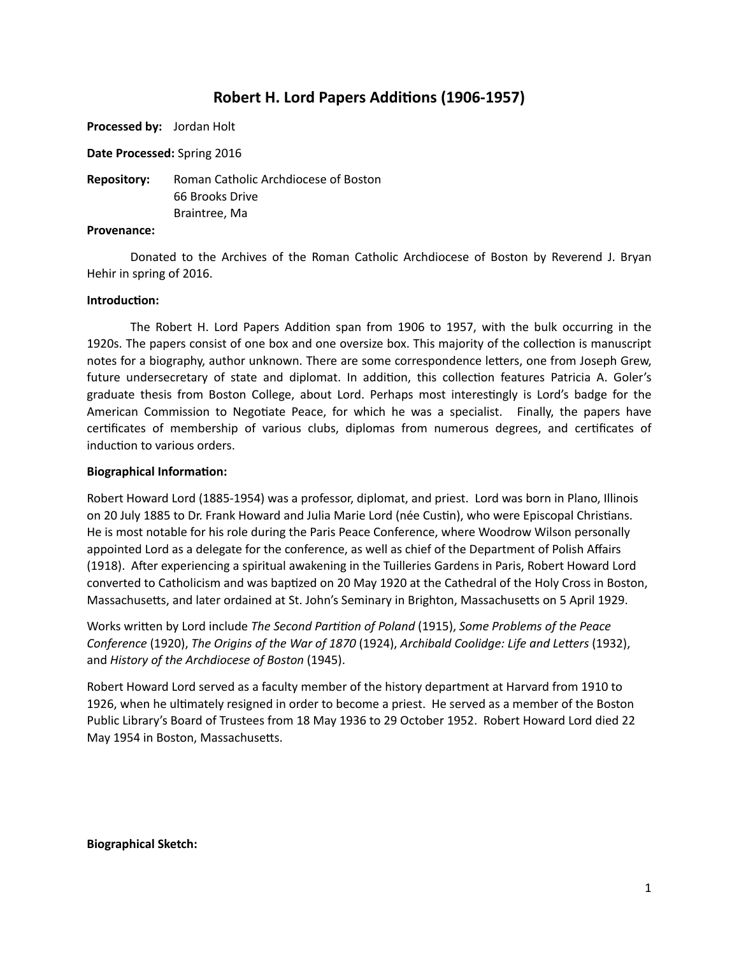# **Robert H. Lord Papers Additions (1906-1957)**

**Processed by:** Jordan Holt

**Date Processed:** Spring 2016

**Repository:** Roman Catholic Archdiocese of Boston 66 Brooks Drive Braintree, Ma

#### **Provenance:**

Donated to the Archives of the Roman Catholic Archdiocese of Boston by Reverend J. Bryan Hehir in spring of 2016.

## **Introduction:**

The Robert H. Lord Papers Addition span from 1906 to 1957, with the bulk occurring in the 1920s. The papers consist of one box and one oversize box. This majority of the collection is manuscript notes for a biography, author unknown. There are some correspondence letters, one from Joseph Grew, future undersecretary of state and diplomat. In addition, this collection features Patricia A. Goler's graduate thesis from Boston College, about Lord. Perhaps most interestingly is Lord's badge for the American Commission to Negotiate Peace, for which he was a specialist. Finally, the papers have certificates of membership of various clubs, diplomas from numerous degrees, and certificates of induction to various orders.

## **Biographical Information:**

Robert Howard Lord (1885-1954) was a professor, diplomat, and priest. Lord was born in Plano, Illinois on 20 July 1885 to Dr. Frank Howard and Julia Marie Lord (née Custin), who were Episcopal Christians. He is most notable for his role during the Paris Peace Conference, where Woodrow Wilson personally appointed Lord as a delegate for the conference, as well as chief of the Department of Polish Affairs (1918). After experiencing a spiritual awakening in the Tuilleries Gardens in Paris, Robert Howard Lord converted to Catholicism and was baptized on 20 May 1920 at the Cathedral of the Holy Cross in Boston, Massachusetts, and later ordained at St. John's Seminary in Brighton, Massachusetts on 5 April 1929.

Works written by Lord include *The Second Partition of Poland* (1915), *Some Problems of the Peace Conference* (1920), *The Origins of the War of 1870* (1924), *Archibald Coolidge: Life and Letters* (1932), and *History of the Archdiocese of Boston* (1945).

Robert Howard Lord served as a faculty member of the history department at Harvard from 1910 to 1926, when he ultimately resigned in order to become a priest. He served as a member of the Boston Public Library's Board of Trustees from 18 May 1936 to 29 October 1952. Robert Howard Lord died 22 May 1954 in Boston, Massachusetts.

#### **Biographical Sketch:**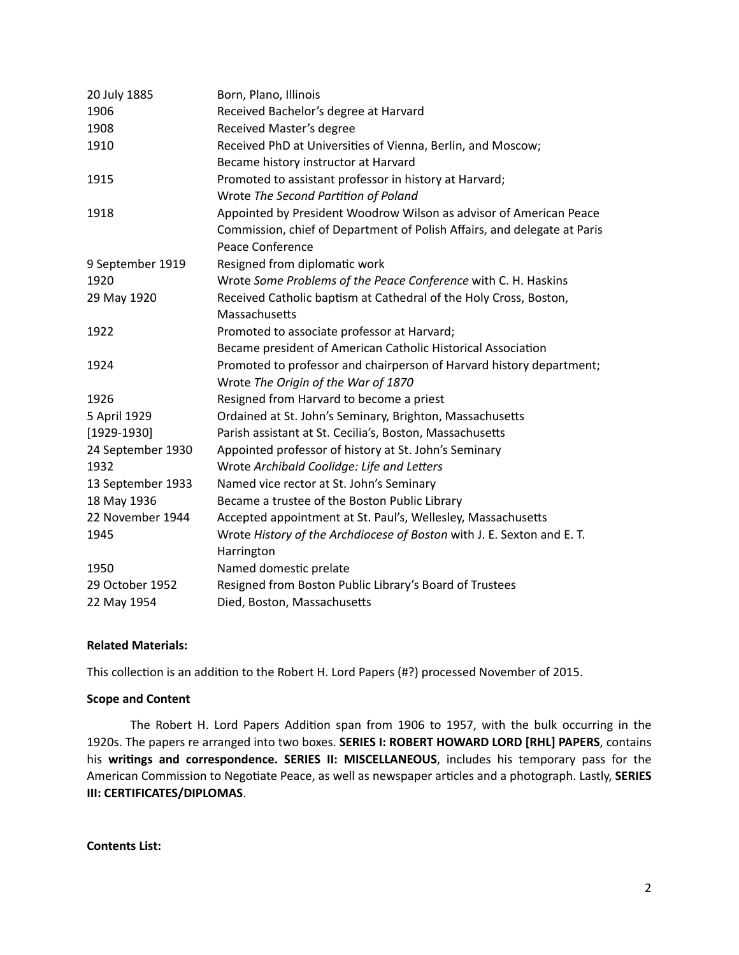| 20 July 1885      | Born, Plano, Illinois                                                    |
|-------------------|--------------------------------------------------------------------------|
| 1906              | Received Bachelor's degree at Harvard                                    |
| 1908              | Received Master's degree                                                 |
| 1910              | Received PhD at Universities of Vienna, Berlin, and Moscow;              |
|                   | Became history instructor at Harvard                                     |
| 1915              | Promoted to assistant professor in history at Harvard;                   |
|                   | Wrote The Second Partition of Poland                                     |
| 1918              | Appointed by President Woodrow Wilson as advisor of American Peace       |
|                   | Commission, chief of Department of Polish Affairs, and delegate at Paris |
|                   | Peace Conference                                                         |
| 9 September 1919  | Resigned from diplomatic work                                            |
| 1920              | Wrote Some Problems of the Peace Conference with C. H. Haskins           |
| 29 May 1920       | Received Catholic baptism at Cathedral of the Holy Cross, Boston,        |
|                   | Massachusetts                                                            |
| 1922              | Promoted to associate professor at Harvard;                              |
|                   | Became president of American Catholic Historical Association             |
| 1924              | Promoted to professor and chairperson of Harvard history department;     |
|                   | Wrote The Origin of the War of 1870                                      |
| 1926              | Resigned from Harvard to become a priest                                 |
| 5 April 1929      | Ordained at St. John's Seminary, Brighton, Massachusetts                 |
| $[1929-1930]$     | Parish assistant at St. Cecilia's, Boston, Massachusetts                 |
| 24 September 1930 | Appointed professor of history at St. John's Seminary                    |
| 1932              | Wrote Archibald Coolidge: Life and Letters                               |
| 13 September 1933 | Named vice rector at St. John's Seminary                                 |
| 18 May 1936       | Became a trustee of the Boston Public Library                            |
| 22 November 1944  | Accepted appointment at St. Paul's, Wellesley, Massachusetts             |
| 1945              | Wrote History of the Archdiocese of Boston with J. E. Sexton and E. T.   |
|                   | Harrington                                                               |
| 1950              | Named domestic prelate                                                   |
| 29 October 1952   | Resigned from Boston Public Library's Board of Trustees                  |
| 22 May 1954       | Died, Boston, Massachusetts                                              |

# **Related Materials:**

This collection is an addition to the Robert H. Lord Papers (#?) processed November of 2015.

## **Scope and Content**

The Robert H. Lord Papers Addition span from 1906 to 1957, with the bulk occurring in the 1920s. The papers re arranged into two boxes. SERIES I: ROBERT HOWARD LORD [RHL] PAPERS, contains his writings and correspondence. SERIES II: MISCELLANEOUS, includes his temporary pass for the American Commission to Negotiate Peace, as well as newspaper articles and a photograph. Lastly, **SERIES III: CERTIFICATES/DIPLOMAS.** 

**Contents List:**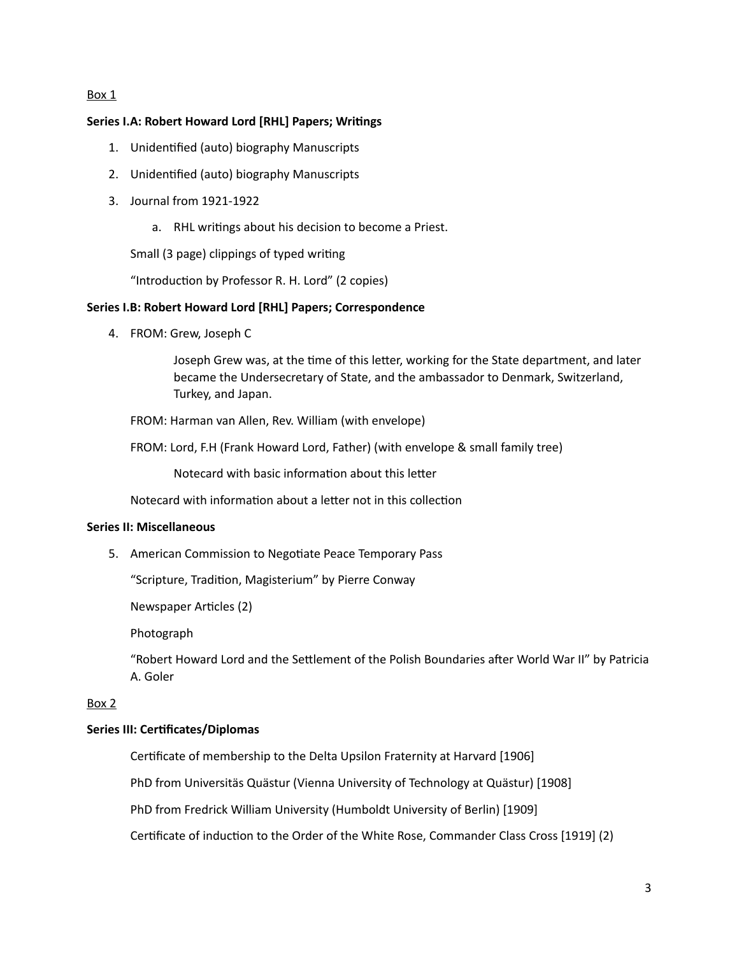#### Box 1

# **Series I.A: Robert Howard Lord [RHL] Papers; Writings**

- 1. Unidentified (auto) biography Manuscripts
- 2. Unidentified (auto) biography Manuscripts
- 3. Journal from 1921-1922
	- a. RHL writings about his decision to become a Priest.

Small (3 page) clippings of typed writing

"Introduction by Professor R. H. Lord" (2 copies)

## **Series I.B: Robert Howard Lord [RHL] Papers; Correspondence**

4. FROM: Grew, Joseph C

Joseph Grew was, at the time of this letter, working for the State department, and later became the Undersecretary of State, and the ambassador to Denmark, Switzerland, Turkey, and Japan.

FROM: Harman van Allen, Rev. William (with envelope)

FROM: Lord, F.H (Frank Howard Lord, Father) (with envelope & small family tree)

Notecard with basic information about this letter

Notecard with information about a letter not in this collection

# **Series II: Miscellaneous**

5. American Commission to Negotiate Peace Temporary Pass

"Scripture, Tradition, Magisterium" by Pierre Conway

Newspaper Articles (2)

Photograph

"Robert Howard Lord and the Settlement of the Polish Boundaries after World War II" by Patricia A. Goler

# Box 2

# **Series III: Certificates/Diplomas**

Certificate of membership to the Delta Upsilon Fraternity at Harvard [1906]

PhD from Universitäs Quästur (Vienna University of Technology at Quästur) [1908]

PhD from Fredrick William University (Humboldt University of Berlin) [1909]

Certificate of induction to the Order of the White Rose, Commander Class Cross [1919] (2)